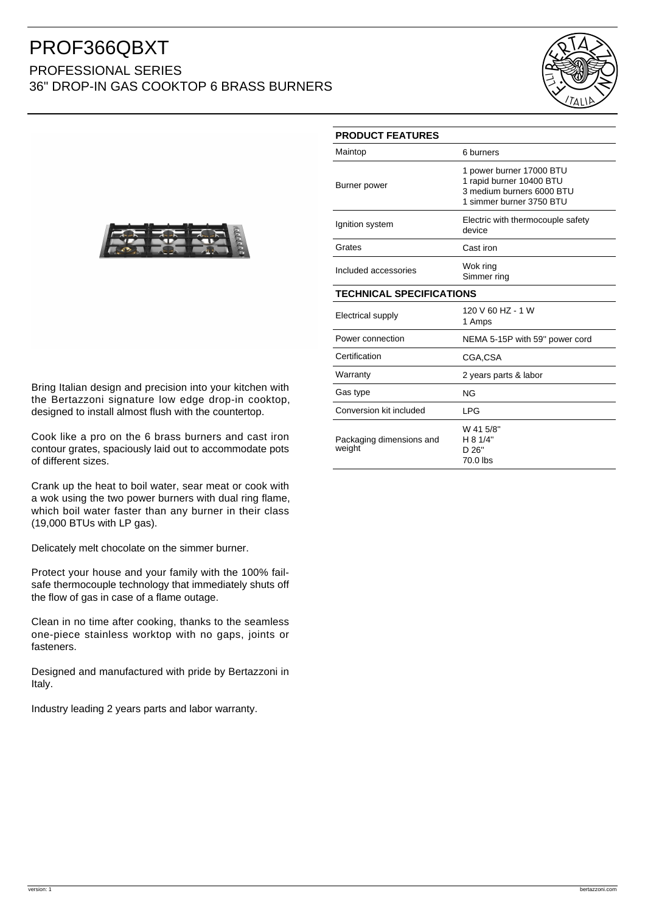## PROF366QBXT

## PROFESSIONAL SERIES 36" DROP-IN GAS COOKTOP 6 BRASS BURNERS





Bring Italian design and precision into your kitchen with the Bertazzoni signature low edge drop-in cooktop, designed to install almost flush with the countertop.

Cook like a pro on the 6 brass burners and cast iron contour grates, spaciously laid out to accommodate pots of different sizes.

Crank up the heat to boil water, sear meat or cook with a wok using the two power burners with dual ring flame, which boil water faster than any burner in their class (19,000 BTUs with LP gas).

Delicately melt chocolate on the simmer burner.

Protect your house and your family with the 100% failsafe thermocouple technology that immediately shuts off the flow of gas in case of a flame outage.

Clean in no time after cooking, thanks to the seamless one-piece stainless worktop with no gaps, joints or fasteners.

Designed and manufactured with pride by Bertazzoni in Italy.

Industry leading 2 years parts and labor warranty.

| <b>PRODUCT FEATURES</b>            |                                                                                                               |
|------------------------------------|---------------------------------------------------------------------------------------------------------------|
| Maintop                            | 6 burners                                                                                                     |
| Burner power                       | 1 power burner 17000 BTU<br>1 rapid burner 10400 BTU<br>3 medium burners 6000 BTU<br>1 simmer burner 3750 BTU |
| Ignition system                    | Electric with thermocouple safety<br>device                                                                   |
| Grates                             | Cast iron                                                                                                     |
| Included accessories               | Wok ring<br>Simmer ring                                                                                       |
| <b>TECHNICAL SPECIFICATIONS</b>    |                                                                                                               |
| Electrical supply                  | 120 V 60 HZ - 1 W<br>1 Amps                                                                                   |
| Power connection                   | NEMA 5-15P with 59" power cord                                                                                |
| Certification                      | CGA,CSA                                                                                                       |
| Warranty                           | 2 years parts & labor                                                                                         |
| Gas type                           | <b>NG</b>                                                                                                     |
| Conversion kit included            | <b>LPG</b>                                                                                                    |
| Packaging dimensions and<br>weight | W 41 5/8"<br>H 8 1/4"<br>D 26"<br>70.0 lbs                                                                    |